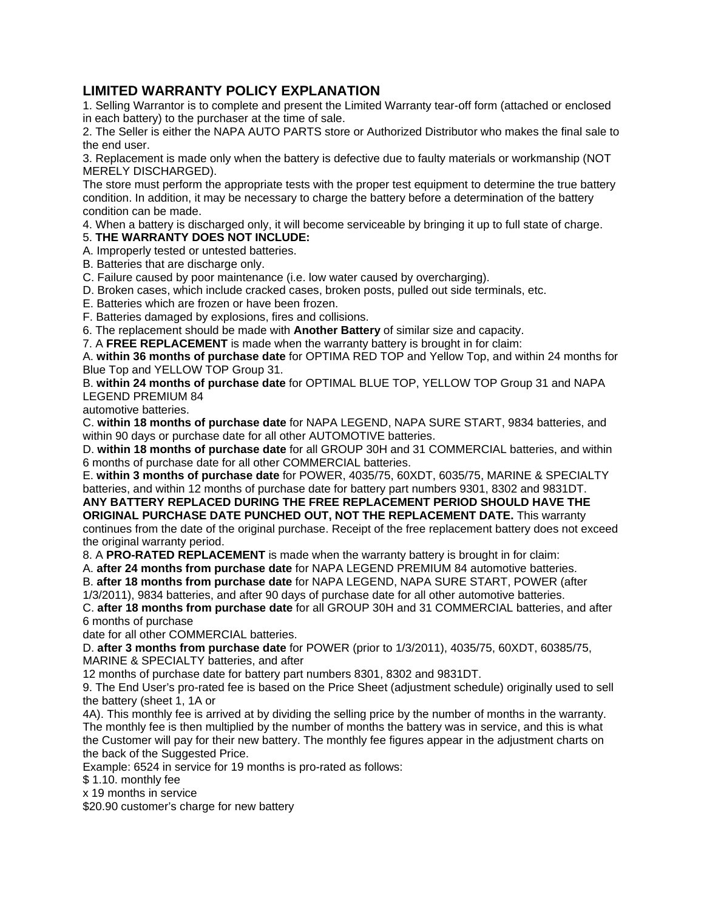## **LIMITED WARRANTY POLICY EXPLANATION**

1. Selling Warrantor is to complete and present the Limited Warranty tear-off form (attached or enclosed in each battery) to the purchaser at the time of sale.

2. The Seller is either the NAPA AUTO PARTS store or Authorized Distributor who makes the final sale to the end user.

3. Replacement is made only when the battery is defective due to faulty materials or workmanship (NOT MERELY DISCHARGED).

The store must perform the appropriate tests with the proper test equipment to determine the true battery condition. In addition, it may be necessary to charge the battery before a determination of the battery condition can be made.

4. When a battery is discharged only, it will become serviceable by bringing it up to full state of charge.

## 5. **THE WARRANTY DOES NOT INCLUDE:**

A. Improperly tested or untested batteries.

B. Batteries that are discharge only.

C. Failure caused by poor maintenance (i.e. low water caused by overcharging).

D. Broken cases, which include cracked cases, broken posts, pulled out side terminals, etc.

E. Batteries which are frozen or have been frozen.

F. Batteries damaged by explosions, fires and collisions.

6. The replacement should be made with **Another Battery** of similar size and capacity.

7. A **FREE REPLACEMENT** is made when the warranty battery is brought in for claim:

A. **within 36 months of purchase date** for OPTIMA RED TOP and Yellow Top, and within 24 months for Blue Top and YELLOW TOP Group 31.

B. **within 24 months of purchase date** for OPTIMAL BLUE TOP, YELLOW TOP Group 31 and NAPA LEGEND PREMIUM 84

automotive batteries.

C. **within 18 months of purchase date** for NAPA LEGEND, NAPA SURE START, 9834 batteries, and within 90 days or purchase date for all other AUTOMOTIVE batteries.

D. **within 18 months of purchase date** for all GROUP 30H and 31 COMMERCIAL batteries, and within 6 months of purchase date for all other COMMERCIAL batteries.

E. **within 3 months of purchase date** for POWER, 4035/75, 60XDT, 6035/75, MARINE & SPECIALTY batteries, and within 12 months of purchase date for battery part numbers 9301, 8302 and 9831DT.

**ANY BATTERY REPLACED DURING THE FREE REPLACEMENT PERIOD SHOULD HAVE THE ORIGINAL PURCHASE DATE PUNCHED OUT, NOT THE REPLACEMENT DATE.** This warranty continues from the date of the original purchase. Receipt of the free replacement battery does not exceed the original warranty period.

8. A **PRO-RATED REPLACEMENT** is made when the warranty battery is brought in for claim:

A. **after 24 months from purchase date** for NAPA LEGEND PREMIUM 84 automotive batteries.

B. **after 18 months from purchase date** for NAPA LEGEND, NAPA SURE START, POWER (after

1/3/2011), 9834 batteries, and after 90 days of purchase date for all other automotive batteries.

C. **after 18 months from purchase date** for all GROUP 30H and 31 COMMERCIAL batteries, and after 6 months of purchase

date for all other COMMERCIAL batteries.

D. **after 3 months from purchase date** for POWER (prior to 1/3/2011), 4035/75, 60XDT, 60385/75, MARINE & SPECIALTY batteries, and after

12 months of purchase date for battery part numbers 8301, 8302 and 9831DT.

9. The End User's pro-rated fee is based on the Price Sheet (adjustment schedule) originally used to sell the battery (sheet 1, 1A or

4A). This monthly fee is arrived at by dividing the selling price by the number of months in the warranty. The monthly fee is then multiplied by the number of months the battery was in service, and this is what the Customer will pay for their new battery. The monthly fee figures appear in the adjustment charts on the back of the Suggested Price.

Example: 6524 in service for 19 months is pro-rated as follows:

\$ 1.10. monthly fee

x 19 months in service

\$20.90 customer's charge for new battery